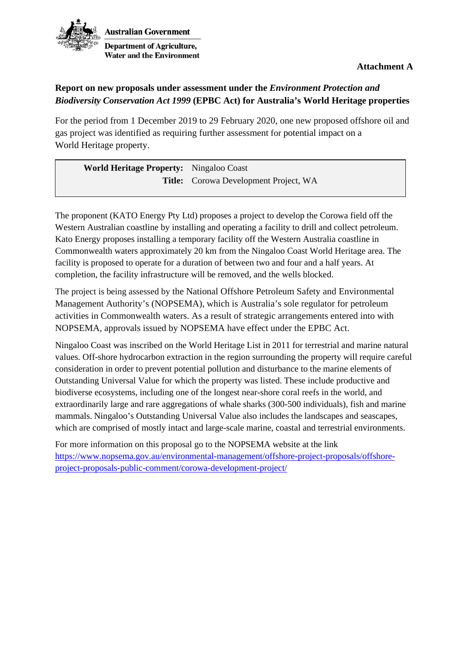

**Attachment A** 

## **Report on new proposals under assessment under the** *Environment Protection and Biodiversity Conservation Act 1999* **(EPBC Act) for Australia's World Heritage properties**

For the period from 1 December 2019 to 29 February 2020, one new proposed offshore oil and gas project was identified as requiring further assessment for potential impact on a World Heritage property.

| World Heritage Property: Ningaloo Coast |                                              |
|-----------------------------------------|----------------------------------------------|
|                                         | <b>Title:</b> Corowa Development Project, WA |

The proponent (KATO Energy Pty Ltd) proposes a project to develop the Corowa field off the Western Australian coastline by installing and operating a facility to drill and collect petroleum. Kato Energy proposes installing a temporary facility off the Western Australia coastline in Commonwealth waters approximately 20 km from the Ningaloo Coast World Heritage area. The facility is proposed to operate for a duration of between two and four and a half years. At completion, the facility infrastructure will be removed, and the wells blocked.

The project is being assessed by the National Offshore Petroleum Safety and Environmental Management Authority's (NOPSEMA), which is Australia's sole regulator for petroleum activities in Commonwealth waters. As a result of strategic arrangements entered into with NOPSEMA, approvals issued by NOPSEMA have effect under the EPBC Act.

Ningaloo Coast was inscribed on the World Heritage List in 2011 for terrestrial and marine natural values. Off-shore hydrocarbon extraction in the region surrounding the property will require careful consideration in order to prevent potential pollution and disturbance to the marine elements of Outstanding Universal Value for which the property was listed. These include productive and biodiverse ecosystems, including one of the longest near-shore coral reefs in the world, and extraordinarily large and rare aggregations of whale sharks (300-500 individuals), fish and marine mammals. Ningaloo's Outstanding Universal Value also includes the landscapes and seascapes, which are comprised of mostly intact and large-scale marine, coastal and terrestrial environments.

For more information on this proposal go to the NOPSEMA website at the link [https://www.nopsema.gov.au/environmental-management/offshore-project-proposals/offshore](https://www.nopsema.gov.au/environmental-management/offshore-project-proposals/offshore-project-proposals-public-comment/corowa-development-project/)[project-proposals-public-comment/corowa-development-project/](https://www.nopsema.gov.au/environmental-management/offshore-project-proposals/offshore-project-proposals-public-comment/corowa-development-project/)